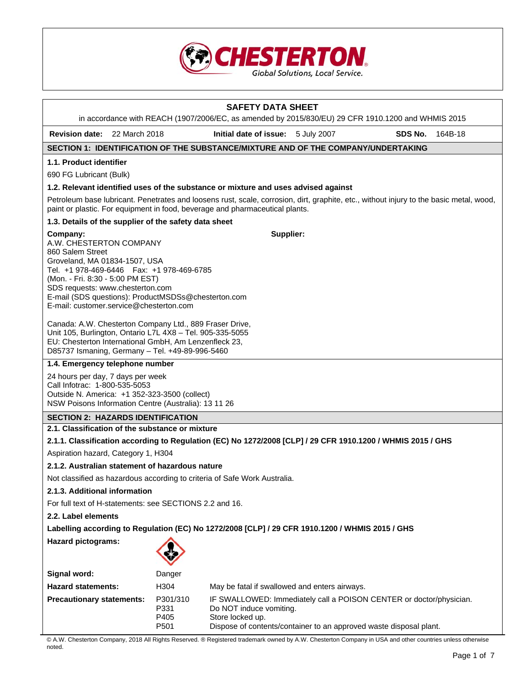

# **SAFETY DATA SHEET**  in accordance with REACH (1907/2006/EC, as amended by 2015/830/EU) 29 CFR 1910.1200 and WHMIS 2015 **Revision date:** 22 March 2018 **Initial date of issue:** 5 July 2007 **SDS No.** 164B-18 **SECTION 1: IDENTIFICATION OF THE SUBSTANCE/MIXTURE AND OF THE COMPANY/UNDERTAKING 1.1. Product identifier**  690 FG Lubricant (Bulk) **1.2. Relevant identified uses of the substance or mixture and uses advised against**  Petroleum base lubricant. Penetrates and loosens rust, scale, corrosion, dirt, graphite, etc., without injury to the basic metal, wood, paint or plastic. For equipment in food, beverage and pharmaceutical plants. **1.3. Details of the supplier of the safety data sheet Company:** A.W. CHESTERTON COMPANY 860 Salem Street Groveland, MA 01834-1507, USA Tel. +1 978-469-6446 Fax: +1 978-469-6785 (Mon. - Fri. 8:30 - 5:00 PM EST) SDS requests: www.chesterton.com E-mail (SDS questions): ProductMSDSs@chesterton.com E-mail: customer.service@chesterton.com Canada: A.W. Chesterton Company Ltd., 889 Fraser Drive, Unit 105, Burlington, Ontario L7L 4X8 – Tel. 905-335-5055 EU: Chesterton International GmbH, Am Lenzenfleck 23, D85737 Ismaning, Germany – Tel. +49-89-996-5460 **Supplier: 1.4. Emergency telephone number**  24 hours per day, 7 days per week Call Infotrac: 1-800-535-5053 Outside N. America: +1 352-323-3500 (collect) NSW Poisons Information Centre (Australia): 13 11 26 **SECTION 2: HAZARDS IDENTIFICATION 2.1. Classification of the substance or mixture 2.1.1. Classification according to Regulation (EC) No 1272/2008 [CLP] / 29 CFR 1910.1200 / WHMIS 2015 / GHS**  Aspiration hazard, Category 1, H304 **2.1.2. Australian statement of hazardous nature**  Not classified as hazardous according to criteria of Safe Work Australia. **2.1.3. Additional information**  For full text of H-statements: see SECTIONS 2.2 and 16. **2.2. Label elements Labelling according to Regulation (EC) No 1272/2008 [CLP] / 29 CFR 1910.1200 / WHMIS 2015 / GHS Hazard pictograms: Signal word:** Danger **Hazard statements:** H304 May be fatal if swallowed and enters airways. **Precautionary statements:** P301/310 IF SWALLOWED: Immediately call a POISON CENTER or doctor/physician. P331 Do NOT induce vomiting. P405 Store locked up. P501 Dispose of contents/container to an approved waste disposal plant.

© A.W. Chesterton Company, 2018 All Rights Reserved. ® Registered trademark owned by A.W. Chesterton Company in USA and other countries unless otherwise noted.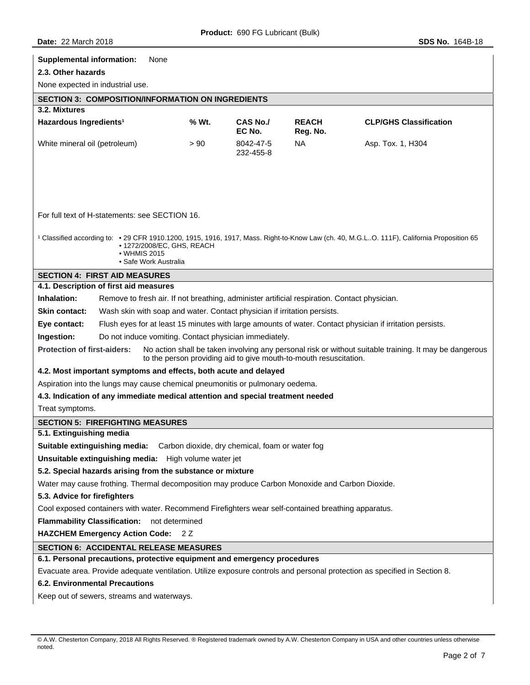| <b>Supplemental information:</b><br>None                                                                                                                                                                                     |       |                        |                          |                                                                                                           |  |
|------------------------------------------------------------------------------------------------------------------------------------------------------------------------------------------------------------------------------|-------|------------------------|--------------------------|-----------------------------------------------------------------------------------------------------------|--|
| 2.3. Other hazards                                                                                                                                                                                                           |       |                        |                          |                                                                                                           |  |
| None expected in industrial use.                                                                                                                                                                                             |       |                        |                          |                                                                                                           |  |
| <b>SECTION 3: COMPOSITION/INFORMATION ON INGREDIENTS</b>                                                                                                                                                                     |       |                        |                          |                                                                                                           |  |
| 3.2. Mixtures                                                                                                                                                                                                                |       |                        |                          |                                                                                                           |  |
| Hazardous Ingredients <sup>1</sup>                                                                                                                                                                                           | % Wt. | CAS No./<br>EC No.     | <b>REACH</b><br>Reg. No. | <b>CLP/GHS Classification</b>                                                                             |  |
| White mineral oil (petroleum)                                                                                                                                                                                                | > 90  | 8042-47-5<br>232-455-8 | NA.                      | Asp. Tox. 1, H304                                                                                         |  |
| For full text of H-statements: see SECTION 16.                                                                                                                                                                               |       |                        |                          |                                                                                                           |  |
|                                                                                                                                                                                                                              |       |                        |                          |                                                                                                           |  |
| <sup>1</sup> Classified according to: • 29 CFR 1910.1200, 1915, 1916, 1917, Mass. Right-to-Know Law (ch. 40, M.G.LO. 111F), California Proposition 65<br>• 1272/2008/EC, GHS, REACH<br>• WHMIS 2015<br>• Safe Work Australia |       |                        |                          |                                                                                                           |  |
| <b>SECTION 4: FIRST AID MEASURES</b>                                                                                                                                                                                         |       |                        |                          |                                                                                                           |  |
| 4.1. Description of first aid measures                                                                                                                                                                                       |       |                        |                          |                                                                                                           |  |
| Inhalation:<br>Remove to fresh air. If not breathing, administer artificial respiration. Contact physician.                                                                                                                  |       |                        |                          |                                                                                                           |  |
| Skin contact:<br>Wash skin with soap and water. Contact physician if irritation persists.                                                                                                                                    |       |                        |                          |                                                                                                           |  |
| Eye contact:                                                                                                                                                                                                                 |       |                        |                          | Flush eyes for at least 15 minutes with large amounts of water. Contact physician if irritation persists. |  |
| Ingestion:<br>Do not induce vomiting. Contact physician immediately.                                                                                                                                                         |       |                        |                          |                                                                                                           |  |
| <b>Protection of first-aiders:</b><br>No action shall be taken involving any personal risk or without suitable training. It may be dangerous<br>to the person providing aid to give mouth-to-mouth resuscitation.            |       |                        |                          |                                                                                                           |  |
| 4.2. Most important symptoms and effects, both acute and delayed                                                                                                                                                             |       |                        |                          |                                                                                                           |  |
| Aspiration into the lungs may cause chemical pneumonitis or pulmonary oedema.                                                                                                                                                |       |                        |                          |                                                                                                           |  |
| 4.3. Indication of any immediate medical attention and special treatment needed                                                                                                                                              |       |                        |                          |                                                                                                           |  |
| Treat symptoms.                                                                                                                                                                                                              |       |                        |                          |                                                                                                           |  |
| <b>SECTION 5: FIREFIGHTING MEASURES</b>                                                                                                                                                                                      |       |                        |                          |                                                                                                           |  |
| 5.1. Extinguishing media                                                                                                                                                                                                     |       |                        |                          |                                                                                                           |  |
| <b>Suitable extinguishing media:</b> Carbon dioxide, dry chemical, foam or water fog                                                                                                                                         |       |                        |                          |                                                                                                           |  |
| Unsuitable extinguishing media: High volume water jet                                                                                                                                                                        |       |                        |                          |                                                                                                           |  |
| 5.2. Special hazards arising from the substance or mixture                                                                                                                                                                   |       |                        |                          |                                                                                                           |  |
| Water may cause frothing. Thermal decomposition may produce Carbon Monoxide and Carbon Dioxide.                                                                                                                              |       |                        |                          |                                                                                                           |  |
| 5.3. Advice for firefighters                                                                                                                                                                                                 |       |                        |                          |                                                                                                           |  |
| Cool exposed containers with water. Recommend Firefighters wear self-contained breathing apparatus.                                                                                                                          |       |                        |                          |                                                                                                           |  |
| Flammability Classification: not determined                                                                                                                                                                                  |       |                        |                          |                                                                                                           |  |
| HAZCHEM Emergency Action Code: 2Z                                                                                                                                                                                            |       |                        |                          |                                                                                                           |  |
| <b>SECTION 6: ACCIDENTAL RELEASE MEASURES</b>                                                                                                                                                                                |       |                        |                          |                                                                                                           |  |
| 6.1. Personal precautions, protective equipment and emergency procedures                                                                                                                                                     |       |                        |                          |                                                                                                           |  |
| Evacuate area. Provide adequate ventilation. Utilize exposure controls and personal protection as specified in Section 8.                                                                                                    |       |                        |                          |                                                                                                           |  |
| <b>6.2. Environmental Precautions</b>                                                                                                                                                                                        |       |                        |                          |                                                                                                           |  |
| Keep out of sewers, streams and waterways.                                                                                                                                                                                   |       |                        |                          |                                                                                                           |  |

<sup>©</sup> A.W. Chesterton Company, 2018 All Rights Reserved. ® Registered trademark owned by A.W. Chesterton Company in USA and other countries unless otherwise noted.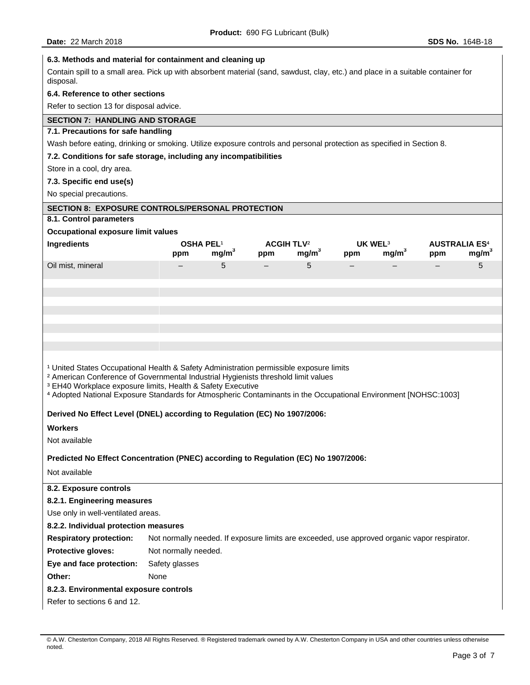| 6.3. Methods and material for containment and cleaning up                                                                                                                                                                                                                                                                                                                                        |                                                                                              |                   |                                     |                   |     |                                          |     |                                           |
|--------------------------------------------------------------------------------------------------------------------------------------------------------------------------------------------------------------------------------------------------------------------------------------------------------------------------------------------------------------------------------------------------|----------------------------------------------------------------------------------------------|-------------------|-------------------------------------|-------------------|-----|------------------------------------------|-----|-------------------------------------------|
| Contain spill to a small area. Pick up with absorbent material (sand, sawdust, clay, etc.) and place in a suitable container for<br>disposal.                                                                                                                                                                                                                                                    |                                                                                              |                   |                                     |                   |     |                                          |     |                                           |
| 6.4. Reference to other sections                                                                                                                                                                                                                                                                                                                                                                 |                                                                                              |                   |                                     |                   |     |                                          |     |                                           |
| Refer to section 13 for disposal advice.                                                                                                                                                                                                                                                                                                                                                         |                                                                                              |                   |                                     |                   |     |                                          |     |                                           |
| <b>SECTION 7: HANDLING AND STORAGE</b>                                                                                                                                                                                                                                                                                                                                                           |                                                                                              |                   |                                     |                   |     |                                          |     |                                           |
| 7.1. Precautions for safe handling                                                                                                                                                                                                                                                                                                                                                               |                                                                                              |                   |                                     |                   |     |                                          |     |                                           |
| Wash before eating, drinking or smoking. Utilize exposure controls and personal protection as specified in Section 8.                                                                                                                                                                                                                                                                            |                                                                                              |                   |                                     |                   |     |                                          |     |                                           |
| 7.2. Conditions for safe storage, including any incompatibilities                                                                                                                                                                                                                                                                                                                                |                                                                                              |                   |                                     |                   |     |                                          |     |                                           |
| Store in a cool, dry area.                                                                                                                                                                                                                                                                                                                                                                       |                                                                                              |                   |                                     |                   |     |                                          |     |                                           |
| 7.3. Specific end use(s)                                                                                                                                                                                                                                                                                                                                                                         |                                                                                              |                   |                                     |                   |     |                                          |     |                                           |
| No special precautions.                                                                                                                                                                                                                                                                                                                                                                          |                                                                                              |                   |                                     |                   |     |                                          |     |                                           |
| <b>SECTION 8: EXPOSURE CONTROLS/PERSONAL PROTECTION</b>                                                                                                                                                                                                                                                                                                                                          |                                                                                              |                   |                                     |                   |     |                                          |     |                                           |
| 8.1. Control parameters                                                                                                                                                                                                                                                                                                                                                                          |                                                                                              |                   |                                     |                   |     |                                          |     |                                           |
| Occupational exposure limit values                                                                                                                                                                                                                                                                                                                                                               |                                                                                              |                   |                                     |                   |     |                                          |     |                                           |
| Ingredients                                                                                                                                                                                                                                                                                                                                                                                      | OSHA PEL <sup>1</sup><br>ppm                                                                 | mg/m <sup>3</sup> | <b>ACGIH TLV<sup>2</sup></b><br>ppm | mg/m <sup>3</sup> | ppm | UK WEL <sup>3</sup><br>mg/m <sup>3</sup> | ppm | <b>AUSTRALIA ES4</b><br>mg/m <sup>3</sup> |
| Oil mist, mineral                                                                                                                                                                                                                                                                                                                                                                                |                                                                                              | 5                 | $-$                                 | 5                 |     |                                          |     | 5                                         |
|                                                                                                                                                                                                                                                                                                                                                                                                  |                                                                                              |                   |                                     |                   |     |                                          |     |                                           |
|                                                                                                                                                                                                                                                                                                                                                                                                  |                                                                                              |                   |                                     |                   |     |                                          |     |                                           |
|                                                                                                                                                                                                                                                                                                                                                                                                  |                                                                                              |                   |                                     |                   |     |                                          |     |                                           |
|                                                                                                                                                                                                                                                                                                                                                                                                  |                                                                                              |                   |                                     |                   |     |                                          |     |                                           |
|                                                                                                                                                                                                                                                                                                                                                                                                  |                                                                                              |                   |                                     |                   |     |                                          |     |                                           |
|                                                                                                                                                                                                                                                                                                                                                                                                  |                                                                                              |                   |                                     |                   |     |                                          |     |                                           |
|                                                                                                                                                                                                                                                                                                                                                                                                  |                                                                                              |                   |                                     |                   |     |                                          |     |                                           |
| <sup>1</sup> United States Occupational Health & Safety Administration permissible exposure limits<br><sup>2</sup> American Conference of Governmental Industrial Hygienists threshold limit values<br><sup>3</sup> EH40 Workplace exposure limits, Health & Safety Executive<br>4 Adopted National Exposure Standards for Atmospheric Contaminants in the Occupational Environment [NOHSC:1003] |                                                                                              |                   |                                     |                   |     |                                          |     |                                           |
|                                                                                                                                                                                                                                                                                                                                                                                                  |                                                                                              |                   |                                     |                   |     |                                          |     |                                           |
| Derived No Effect Level (DNEL) according to Regulation (EC) No 1907/2006:                                                                                                                                                                                                                                                                                                                        |                                                                                              |                   |                                     |                   |     |                                          |     |                                           |
| <b>Workers</b>                                                                                                                                                                                                                                                                                                                                                                                   |                                                                                              |                   |                                     |                   |     |                                          |     |                                           |
| Not available                                                                                                                                                                                                                                                                                                                                                                                    |                                                                                              |                   |                                     |                   |     |                                          |     |                                           |
| Predicted No Effect Concentration (PNEC) according to Regulation (EC) No 1907/2006:                                                                                                                                                                                                                                                                                                              |                                                                                              |                   |                                     |                   |     |                                          |     |                                           |
| Not available                                                                                                                                                                                                                                                                                                                                                                                    |                                                                                              |                   |                                     |                   |     |                                          |     |                                           |
| 8.2. Exposure controls                                                                                                                                                                                                                                                                                                                                                                           |                                                                                              |                   |                                     |                   |     |                                          |     |                                           |
| 8.2.1. Engineering measures                                                                                                                                                                                                                                                                                                                                                                      |                                                                                              |                   |                                     |                   |     |                                          |     |                                           |
| Use only in well-ventilated areas.                                                                                                                                                                                                                                                                                                                                                               |                                                                                              |                   |                                     |                   |     |                                          |     |                                           |
| 8.2.2. Individual protection measures                                                                                                                                                                                                                                                                                                                                                            |                                                                                              |                   |                                     |                   |     |                                          |     |                                           |
| <b>Respiratory protection:</b>                                                                                                                                                                                                                                                                                                                                                                   | Not normally needed. If exposure limits are exceeded, use approved organic vapor respirator. |                   |                                     |                   |     |                                          |     |                                           |
| Protective gloves:                                                                                                                                                                                                                                                                                                                                                                               | Not normally needed.                                                                         |                   |                                     |                   |     |                                          |     |                                           |
| Eye and face protection:                                                                                                                                                                                                                                                                                                                                                                         | Safety glasses                                                                               |                   |                                     |                   |     |                                          |     |                                           |
| Other:                                                                                                                                                                                                                                                                                                                                                                                           | None                                                                                         |                   |                                     |                   |     |                                          |     |                                           |
| 8.2.3. Environmental exposure controls                                                                                                                                                                                                                                                                                                                                                           |                                                                                              |                   |                                     |                   |     |                                          |     |                                           |
| Refer to sections 6 and 12.                                                                                                                                                                                                                                                                                                                                                                      |                                                                                              |                   |                                     |                   |     |                                          |     |                                           |
|                                                                                                                                                                                                                                                                                                                                                                                                  |                                                                                              |                   |                                     |                   |     |                                          |     |                                           |

<sup>©</sup> A.W. Chesterton Company, 2018 All Rights Reserved. ® Registered trademark owned by A.W. Chesterton Company in USA and other countries unless otherwise noted.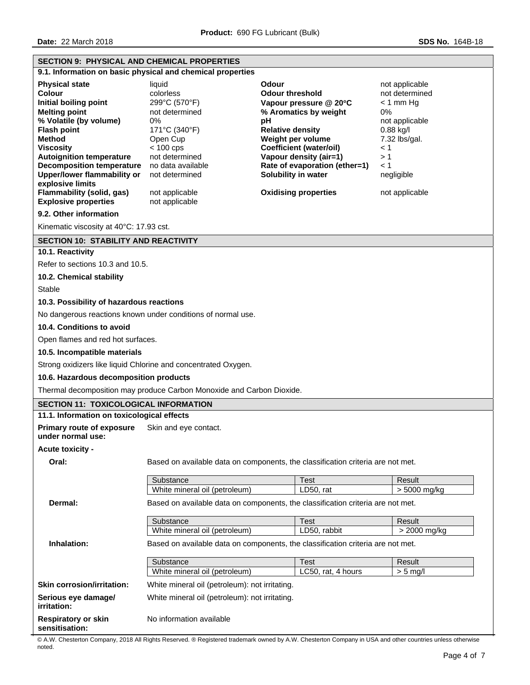**Date:** 22 March 2018 **SDS No.** 164B-18

| <b>SECTION 9: PHYSICAL AND CHEMICAL PROPERTIES</b>                                                                                                                                                                                                                                                                                                                                                  |                                                                                                                                                                                                       |                                                                                                                                                                                                                                                                                             |                                                                                                                                                                       |
|-----------------------------------------------------------------------------------------------------------------------------------------------------------------------------------------------------------------------------------------------------------------------------------------------------------------------------------------------------------------------------------------------------|-------------------------------------------------------------------------------------------------------------------------------------------------------------------------------------------------------|---------------------------------------------------------------------------------------------------------------------------------------------------------------------------------------------------------------------------------------------------------------------------------------------|-----------------------------------------------------------------------------------------------------------------------------------------------------------------------|
|                                                                                                                                                                                                                                                                                                                                                                                                     | 9.1. Information on basic physical and chemical properties                                                                                                                                            |                                                                                                                                                                                                                                                                                             |                                                                                                                                                                       |
| <b>Physical state</b><br>Colour<br>Initial boiling point<br><b>Melting point</b><br>% Volatile (by volume)<br><b>Flash point</b><br><b>Method</b><br><b>Viscositv</b><br><b>Autoignition temperature</b><br><b>Decomposition temperature</b><br><b>Upper/lower flammability or</b><br>explosive limits<br><b>Flammability (solid, gas)</b><br><b>Explosive properties</b><br>9.2. Other information | liquid<br>colorless<br>299°C (570°F)<br>not determined<br>0%<br>171°C (340°F)<br>Open Cup<br>$< 100$ cps<br>not determined<br>no data available<br>not determined<br>not applicable<br>not applicable | Odour<br><b>Odour threshold</b><br>Vapour pressure @ 20°C<br>% Aromatics by weight<br>рH<br><b>Relative density</b><br>Weight per volume<br><b>Coefficient (water/oil)</b><br>Vapour density (air=1)<br>Rate of evaporation (ether=1)<br>Solubility in water<br><b>Oxidising properties</b> | not applicable<br>not determined<br>$< 1$ mm Hg<br>0%<br>not applicable<br>$0.88$ kg/l<br>7.32 lbs/gal.<br>$\leq 1$<br>>1<br>$\leq 1$<br>negligible<br>not applicable |
| Kinematic viscosity at 40°C: 17.93 cst.                                                                                                                                                                                                                                                                                                                                                             |                                                                                                                                                                                                       |                                                                                                                                                                                                                                                                                             |                                                                                                                                                                       |
| <b>SECTION 10: STABILITY AND REACTIVITY</b>                                                                                                                                                                                                                                                                                                                                                         |                                                                                                                                                                                                       |                                                                                                                                                                                                                                                                                             |                                                                                                                                                                       |
| 10.1. Reactivity                                                                                                                                                                                                                                                                                                                                                                                    |                                                                                                                                                                                                       |                                                                                                                                                                                                                                                                                             |                                                                                                                                                                       |
| Refer to sections 10.3 and 10.5.                                                                                                                                                                                                                                                                                                                                                                    |                                                                                                                                                                                                       |                                                                                                                                                                                                                                                                                             |                                                                                                                                                                       |
| 10.2. Chemical stability                                                                                                                                                                                                                                                                                                                                                                            |                                                                                                                                                                                                       |                                                                                                                                                                                                                                                                                             |                                                                                                                                                                       |
| <b>Stable</b>                                                                                                                                                                                                                                                                                                                                                                                       |                                                                                                                                                                                                       |                                                                                                                                                                                                                                                                                             |                                                                                                                                                                       |
| 10.3. Possibility of hazardous reactions                                                                                                                                                                                                                                                                                                                                                            |                                                                                                                                                                                                       |                                                                                                                                                                                                                                                                                             |                                                                                                                                                                       |
|                                                                                                                                                                                                                                                                                                                                                                                                     | No dangerous reactions known under conditions of normal use.                                                                                                                                          |                                                                                                                                                                                                                                                                                             |                                                                                                                                                                       |
| 10.4. Conditions to avoid                                                                                                                                                                                                                                                                                                                                                                           |                                                                                                                                                                                                       |                                                                                                                                                                                                                                                                                             |                                                                                                                                                                       |
| Open flames and red hot surfaces.                                                                                                                                                                                                                                                                                                                                                                   |                                                                                                                                                                                                       |                                                                                                                                                                                                                                                                                             |                                                                                                                                                                       |
| 10.5. Incompatible materials                                                                                                                                                                                                                                                                                                                                                                        |                                                                                                                                                                                                       |                                                                                                                                                                                                                                                                                             |                                                                                                                                                                       |
|                                                                                                                                                                                                                                                                                                                                                                                                     | Strong oxidizers like liquid Chlorine and concentrated Oxygen.                                                                                                                                        |                                                                                                                                                                                                                                                                                             |                                                                                                                                                                       |
| 10.6. Hazardous decomposition products                                                                                                                                                                                                                                                                                                                                                              |                                                                                                                                                                                                       |                                                                                                                                                                                                                                                                                             |                                                                                                                                                                       |
|                                                                                                                                                                                                                                                                                                                                                                                                     | Thermal decomposition may produce Carbon Monoxide and Carbon Dioxide.                                                                                                                                 |                                                                                                                                                                                                                                                                                             |                                                                                                                                                                       |
| <b>SECTION 11: TOXICOLOGICAL INFORMATION</b>                                                                                                                                                                                                                                                                                                                                                        |                                                                                                                                                                                                       |                                                                                                                                                                                                                                                                                             |                                                                                                                                                                       |
| 11.1. Information on toxicological effects                                                                                                                                                                                                                                                                                                                                                          |                                                                                                                                                                                                       |                                                                                                                                                                                                                                                                                             |                                                                                                                                                                       |
| <b>Primary route of exposure</b><br>under normal use:                                                                                                                                                                                                                                                                                                                                               | Skin and eye contact.                                                                                                                                                                                 |                                                                                                                                                                                                                                                                                             |                                                                                                                                                                       |
| Acute toxicity -                                                                                                                                                                                                                                                                                                                                                                                    |                                                                                                                                                                                                       |                                                                                                                                                                                                                                                                                             |                                                                                                                                                                       |
| Oral:                                                                                                                                                                                                                                                                                                                                                                                               |                                                                                                                                                                                                       | Based on available data on components, the classification criteria are not met.                                                                                                                                                                                                             |                                                                                                                                                                       |
|                                                                                                                                                                                                                                                                                                                                                                                                     | Substance                                                                                                                                                                                             | <b>Test</b>                                                                                                                                                                                                                                                                                 | Result                                                                                                                                                                |
|                                                                                                                                                                                                                                                                                                                                                                                                     | White mineral oil (petroleum)                                                                                                                                                                         | LD50, rat                                                                                                                                                                                                                                                                                   | > 5000 mg/kg                                                                                                                                                          |
| Dermal:                                                                                                                                                                                                                                                                                                                                                                                             |                                                                                                                                                                                                       | Based on available data on components, the classification criteria are not met.                                                                                                                                                                                                             |                                                                                                                                                                       |
|                                                                                                                                                                                                                                                                                                                                                                                                     | Substance                                                                                                                                                                                             | <b>Test</b>                                                                                                                                                                                                                                                                                 | Result                                                                                                                                                                |
|                                                                                                                                                                                                                                                                                                                                                                                                     | White mineral oil (petroleum)                                                                                                                                                                         | LD50, rabbit                                                                                                                                                                                                                                                                                | $> 2000$ mg/kg                                                                                                                                                        |
| Inhalation:                                                                                                                                                                                                                                                                                                                                                                                         | Based on available data on components, the classification criteria are not met.                                                                                                                       |                                                                                                                                                                                                                                                                                             |                                                                                                                                                                       |
|                                                                                                                                                                                                                                                                                                                                                                                                     | Substance                                                                                                                                                                                             | <b>Test</b>                                                                                                                                                                                                                                                                                 | Result                                                                                                                                                                |
|                                                                                                                                                                                                                                                                                                                                                                                                     | White mineral oil (petroleum)                                                                                                                                                                         | LC50, rat, 4 hours                                                                                                                                                                                                                                                                          | $> 5$ mg/l                                                                                                                                                            |
| <b>Skin corrosion/irritation:</b>                                                                                                                                                                                                                                                                                                                                                                   | White mineral oil (petroleum): not irritating.                                                                                                                                                        |                                                                                                                                                                                                                                                                                             |                                                                                                                                                                       |
| Serious eye damage/<br>irritation:                                                                                                                                                                                                                                                                                                                                                                  | White mineral oil (petroleum): not irritating.                                                                                                                                                        |                                                                                                                                                                                                                                                                                             |                                                                                                                                                                       |
| <b>Respiratory or skin</b><br>sensitisation:                                                                                                                                                                                                                                                                                                                                                        | No information available                                                                                                                                                                              |                                                                                                                                                                                                                                                                                             |                                                                                                                                                                       |

© A.W. Chesterton Company, 2018 All Rights Reserved. ® Registered trademark owned by A.W. Chesterton Company in USA and other countries unless otherwise noted.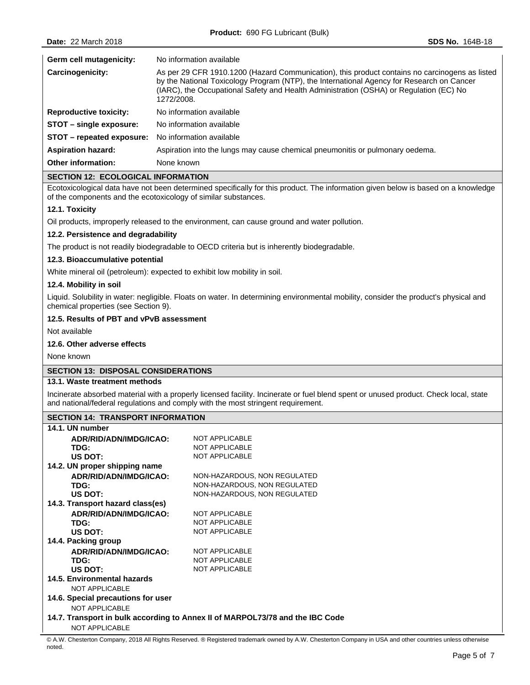| Germ cell mutagenicity:       | No information available                                                                                                                                                                                                                                                                            |
|-------------------------------|-----------------------------------------------------------------------------------------------------------------------------------------------------------------------------------------------------------------------------------------------------------------------------------------------------|
| Carcinogenicity:              | As per 29 CFR 1910.1200 (Hazard Communication), this product contains no carcinogens as listed<br>by the National Toxicology Program (NTP), the International Agency for Research on Cancer<br>(IARC), the Occupational Safety and Health Administration (OSHA) or Regulation (EC) No<br>1272/2008. |
| <b>Reproductive toxicity:</b> | No information available                                                                                                                                                                                                                                                                            |
| STOT - single exposure:       | No information available                                                                                                                                                                                                                                                                            |
| STOT – repeated exposure:     | No information available                                                                                                                                                                                                                                                                            |
| <b>Aspiration hazard:</b>     | Aspiration into the lungs may cause chemical pneumonitis or pulmonary oedema.                                                                                                                                                                                                                       |
| Other information:            | None known                                                                                                                                                                                                                                                                                          |

# **SECTION 12: ECOLOGICAL INFORMATION**

Ecotoxicological data have not been determined specifically for this product. The information given below is based on a knowledge of the components and the ecotoxicology of similar substances.

## **12.1. Toxicity**

Oil products, improperly released to the environment, can cause ground and water pollution.

### **12.2. Persistence and degradability**

The product is not readily biodegradable to OECD criteria but is inherently biodegradable.

### **12.3. Bioaccumulative potential**

White mineral oil (petroleum): expected to exhibit low mobility in soil.

### **12.4. Mobility in soil**

Liquid. Solubility in water: negligible. Floats on water. In determining environmental mobility, consider the product's physical and chemical properties (see Section 9).

## **12.5. Results of PBT and vPvB assessment**

Not available

## **12.6. Other adverse effects**

None known

# **SECTION 13: DISPOSAL CONSIDERATIONS**

# **13.1. Waste treatment methods**

Incinerate absorbed material with a properly licensed facility. Incinerate or fuel blend spent or unused product. Check local, state and national/federal regulations and comply with the most stringent requirement.

#### **SECTION 14: TRANSPORT INFORMATION**

| 14.1. UN number                                                               |                              |  |
|-------------------------------------------------------------------------------|------------------------------|--|
| ADR/RID/ADN/IMDG/ICAO:                                                        | NOT APPI ICARI F             |  |
| TDG:                                                                          | <b>NOT APPLICABLE</b>        |  |
| US DOT:                                                                       | <b>NOT APPLICABLE</b>        |  |
| 14.2. UN proper shipping name                                                 |                              |  |
| ADR/RID/ADN/IMDG/ICAO:                                                        | NON-HAZARDOUS, NON REGULATED |  |
| TDG:                                                                          | NON-HAZARDOUS, NON REGULATED |  |
| US DOT:                                                                       | NON-HAZARDOUS, NON REGULATED |  |
| 14.3. Transport hazard class(es)                                              |                              |  |
| ADR/RID/ADN/IMDG/ICAO:                                                        | <b>NOT APPLICABLE</b>        |  |
| TDG:                                                                          | <b>NOT APPLICABLE</b>        |  |
| US DOT:                                                                       | <b>NOT APPLICABLE</b>        |  |
| 14.4. Packing group                                                           |                              |  |
| ADR/RID/ADN/IMDG/ICAO:                                                        | <b>NOT APPLICABLE</b>        |  |
| TDG:                                                                          | <b>NOT APPLICABLE</b>        |  |
| US DOT:                                                                       | NOT APPI ICARI F             |  |
| 14.5. Environmental hazards                                                   |                              |  |
| <b>NOT APPLICABLE</b>                                                         |                              |  |
| 14.6. Special precautions for user                                            |                              |  |
| NOT APPLICABLE                                                                |                              |  |
| 14.7. Transport in bulk according to Annex II of MARPOL73/78 and the IBC Code |                              |  |
| <b>NOT APPLICABLE</b>                                                         |                              |  |

<sup>©</sup> A.W. Chesterton Company, 2018 All Rights Reserved. ® Registered trademark owned by A.W. Chesterton Company in USA and other countries unless otherwise noted.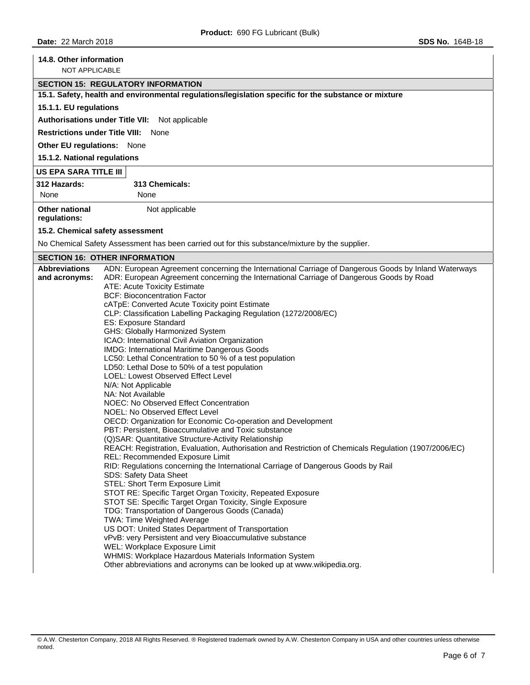| 14.8. Other information               |                                                                                                                          |  |  |  |  |  |
|---------------------------------------|--------------------------------------------------------------------------------------------------------------------------|--|--|--|--|--|
| <b>NOT APPLICABLE</b>                 |                                                                                                                          |  |  |  |  |  |
|                                       | <b>SECTION 15: REGULATORY INFORMATION</b>                                                                                |  |  |  |  |  |
|                                       | 15.1. Safety, health and environmental regulations/legislation specific for the substance or mixture                     |  |  |  |  |  |
| 15.1.1. EU regulations                |                                                                                                                          |  |  |  |  |  |
|                                       | Authorisations under Title VII: Not applicable                                                                           |  |  |  |  |  |
|                                       | <b>Restrictions under Title VIII: None</b>                                                                               |  |  |  |  |  |
| Other EU regulations: None            |                                                                                                                          |  |  |  |  |  |
| 15.1.2. National regulations          |                                                                                                                          |  |  |  |  |  |
| <b>US EPA SARA TITLE III</b>          |                                                                                                                          |  |  |  |  |  |
| 312 Hazards:                          | 313 Chemicals:                                                                                                           |  |  |  |  |  |
| None                                  | None                                                                                                                     |  |  |  |  |  |
| <b>Other national</b><br>regulations: | Not applicable                                                                                                           |  |  |  |  |  |
|                                       | 15.2. Chemical safety assessment                                                                                         |  |  |  |  |  |
|                                       | No Chemical Safety Assessment has been carried out for this substance/mixture by the supplier.                           |  |  |  |  |  |
|                                       | <b>SECTION 16: OTHER INFORMATION</b>                                                                                     |  |  |  |  |  |
| <b>Abbreviations</b>                  | ADN: European Agreement concerning the International Carriage of Dangerous Goods by Inland Waterways                     |  |  |  |  |  |
| and acronyms:                         | ADR: European Agreement concerning the International Carriage of Dangerous Goods by Road<br>ATE: Acute Toxicity Estimate |  |  |  |  |  |
|                                       | <b>BCF: Bioconcentration Factor</b>                                                                                      |  |  |  |  |  |
|                                       | cATpE: Converted Acute Toxicity point Estimate                                                                           |  |  |  |  |  |
|                                       | CLP: Classification Labelling Packaging Regulation (1272/2008/EC)                                                        |  |  |  |  |  |
|                                       | ES: Exposure Standard                                                                                                    |  |  |  |  |  |
|                                       | GHS: Globally Harmonized System<br>ICAO: International Civil Aviation Organization                                       |  |  |  |  |  |
|                                       | IMDG: International Maritime Dangerous Goods                                                                             |  |  |  |  |  |
|                                       | LC50: Lethal Concentration to 50 % of a test population                                                                  |  |  |  |  |  |
|                                       | LD50: Lethal Dose to 50% of a test population                                                                            |  |  |  |  |  |
|                                       | LOEL: Lowest Observed Effect Level<br>N/A: Not Applicable                                                                |  |  |  |  |  |
|                                       | NA: Not Available                                                                                                        |  |  |  |  |  |
|                                       | NOEC: No Observed Effect Concentration                                                                                   |  |  |  |  |  |
|                                       | NOEL: No Observed Effect Level                                                                                           |  |  |  |  |  |
|                                       | OECD: Organization for Economic Co-operation and Development<br>PBT: Persistent, Bioaccumulative and Toxic substance     |  |  |  |  |  |
|                                       | (Q)SAR: Quantitative Structure-Activity Relationship                                                                     |  |  |  |  |  |
|                                       | REACH: Registration, Evaluation, Authorisation and Restriction of Chemicals Regulation (1907/2006/EC)                    |  |  |  |  |  |
|                                       | REL: Recommended Exposure Limit                                                                                          |  |  |  |  |  |
|                                       | RID: Regulations concerning the International Carriage of Dangerous Goods by Rail<br>SDS: Safety Data Sheet              |  |  |  |  |  |
|                                       | STEL: Short Term Exposure Limit                                                                                          |  |  |  |  |  |
|                                       | STOT RE: Specific Target Organ Toxicity, Repeated Exposure                                                               |  |  |  |  |  |
|                                       | STOT SE: Specific Target Organ Toxicity, Single Exposure                                                                 |  |  |  |  |  |
|                                       | TDG: Transportation of Dangerous Goods (Canada)<br>TWA: Time Weighted Average                                            |  |  |  |  |  |
|                                       | US DOT: United States Department of Transportation                                                                       |  |  |  |  |  |
|                                       | vPvB: very Persistent and very Bioaccumulative substance                                                                 |  |  |  |  |  |
|                                       | WEL: Workplace Exposure Limit                                                                                            |  |  |  |  |  |
|                                       | WHMIS: Workplace Hazardous Materials Information System                                                                  |  |  |  |  |  |
|                                       | Other abbreviations and acronyms can be looked up at www.wikipedia.org.                                                  |  |  |  |  |  |